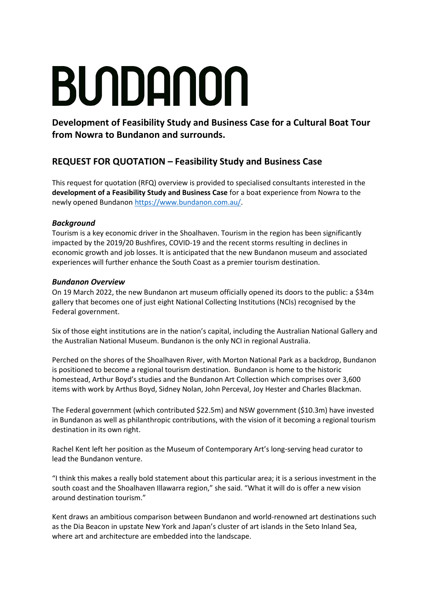# BUNDANON

**Development of Feasibility Study and Business Case for a Cultural Boat Tour from Nowra to Bundanon and surrounds.**

# **REQUEST FOR QUOTATION – Feasibility Study and Business Case**

This request for quotation (RFQ) overview is provided to specialised consultants interested in the **development of a Feasibility Study and Business Case** for a boat experience from Nowra to the newly opened Bundanon [https://www.bundanon.com.au/.](https://www.bundanon.com.au/)

## *Background*

Tourism is a key economic driver in the Shoalhaven. Tourism in the region has been significantly impacted by the 2019/20 Bushfires, COVID-19 and the recent storms resulting in declines in economic growth and job losses. It is anticipated that the new Bundanon museum and associated experiences will further enhance the South Coast as a premier tourism destination.

#### *Bundanon Overview*

On 19 March 2022, the new Bundanon art museum officially opened its doors to the public: a \$34m gallery that becomes one of just eight National Collecting Institutions (NCIs) recognised by the Federal government.

Six of those eight institutions are in the nation's capital, including the Australian National Gallery and the Australian National Museum. Bundanon is the only NCI in regional Australia.

Perched on the shores of the Shoalhaven River, with Morton National Park as a backdrop, Bundanon is positioned to become a regional tourism destination. Bundanon is home to the historic homestead, Arthur Boyd's studies and the Bundanon Art Collection which comprises over 3,600 items with work by Arthus Boyd, Sidney Nolan, John Perceval, Joy Hester and Charles Blackman.

The Federal government (which contributed \$22.5m) and NSW government (\$10.3m) have invested in Bundanon as well as philanthropic contributions, with the vision of it becoming a regional tourism destination in its own right.

Rachel Kent left her position as the Museum of Contemporary Art's long-serving head curator to lead the Bundanon venture.

"I think this makes a really bold statement about this particular area; it is a serious investment in the south coast and the Shoalhaven Illawarra region," she said. "What it will do is offer a new vision around destination tourism."

Kent draws an ambitious comparison between Bundanon and world-renowned art destinations such as the Dia Beacon in upstate New York and Japan's cluster of art islands in the Seto Inland Sea, where art and architecture are embedded into the landscape.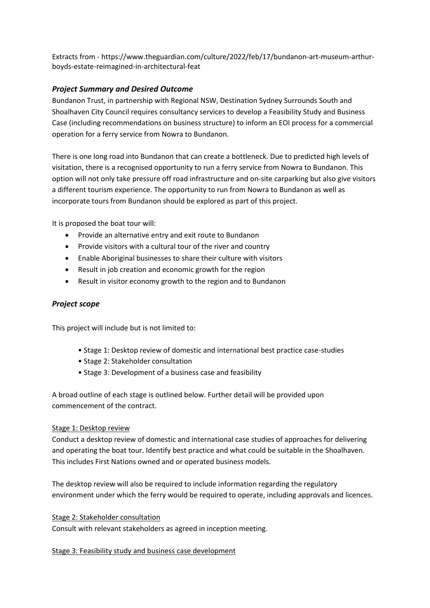Extracts from - [https://www.theguardian.com/culture/2022/feb/17/bundanon-art-museum-arthur](https://www.theguardian.com/culture/2022/feb/17/bundanon-art-museum-arthur-boyds-estate-reimagined-in-architectural-feat)[boyds-estate-reimagined-in-architectural-feat](https://www.theguardian.com/culture/2022/feb/17/bundanon-art-museum-arthur-boyds-estate-reimagined-in-architectural-feat)

#### *Project Summary and Desired Outcome*

Bundanon Trust, in partnership with Regional NSW, Destination Sydney Surrounds South and Shoalhaven City Council requires consultancy services to develop a Feasibility Study and Business Case (including recommendations on business structure) to inform an EOI process for a commercial operation for a ferry service from Nowra to Bundanon.

There is one long road into Bundanon that can create a bottleneck. Due to predicted high levels of visitation, there is a recognised opportunity to run a ferry service from Nowra to Bundanon. This option will not only take pressure off road infrastructure and on-site carparking but also give visitors a different tourism experience. The opportunity to run from Nowra to Bundanon as well as incorporate tours from Bundanon should be explored as part of this project.

It is proposed the boat tour will:

- Provide an alternative entry and exit route to Bundanon
- Provide visitors with a cultural tour of the river and country
- Enable Aboriginal businesses to share their culture with visitors
- Result in job creation and economic growth for the region
- Result in visitor economy growth to the region and to Bundanon

#### *Project scope*

This project will include but is not limited to:

- Stage 1: Desktop review of domestic and international best practice case-studies
- Stage 2: Stakeholder consultation
- Stage 3: Development of a business case and feasibility

A broad outline of each stage is outlined below. Further detail will be provided upon commencement of the contract.

#### Stage 1: Desktop review

Conduct a desktop review of domestic and international case studies of approaches for delivering and operating the boat tour. Identify best practice and what could be suitable in the Shoalhaven. This includes First Nations owned and or operated business models.

The desktop review will also be required to include information regarding the regulatory environment under which the ferry would be required to operate, including approvals and licences.

#### Stage 2: Stakeholder consultation

Consult with relevant stakeholders as agreed in inception meeting.

Stage 3: Feasibility study and business case development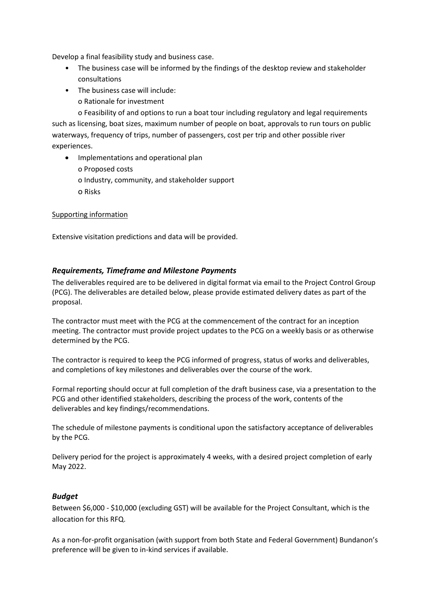Develop a final feasibility study and business case.

- The business case will be informed by the findings of the desktop review and stakeholder consultations
- The business case will include:
	- o Rationale for investment

o Feasibility of and options to run a boat tour including regulatory and legal requirements such as licensing, boat sizes, maximum number of people on boat, approvals to run tours on public waterways, frequency of trips, number of passengers, cost per trip and other possible river experiences.

- Implementations and operational plan
	- o Proposed costs
	- o Industry, community, and stakeholder support
	- o Risks

#### Supporting information

Extensive visitation predictions and data will be provided.

#### *Requirements, Timeframe and Milestone Payments*

The deliverables required are to be delivered in digital format via email to the Project Control Group (PCG). The deliverables are detailed below, please provide estimated delivery dates as part of the proposal.

The contractor must meet with the PCG at the commencement of the contract for an inception meeting. The contractor must provide project updates to the PCG on a weekly basis or as otherwise determined by the PCG.

The contractor is required to keep the PCG informed of progress, status of works and deliverables, and completions of key milestones and deliverables over the course of the work.

Formal reporting should occur at full completion of the draft business case, via a presentation to the PCG and other identified stakeholders, describing the process of the work, contents of the deliverables and key findings/recommendations.

The schedule of milestone payments is conditional upon the satisfactory acceptance of deliverables by the PCG.

Delivery period for the project is approximately 4 weeks, with a desired project completion of early May 2022.

#### *Budget*

Between \$6,000 - \$10,000 (excluding GST) will be available for the Project Consultant, which is the allocation for this RFQ.

As a non-for-profit organisation (with support from both State and Federal Government) Bundanon's preference will be given to in-kind services if available.